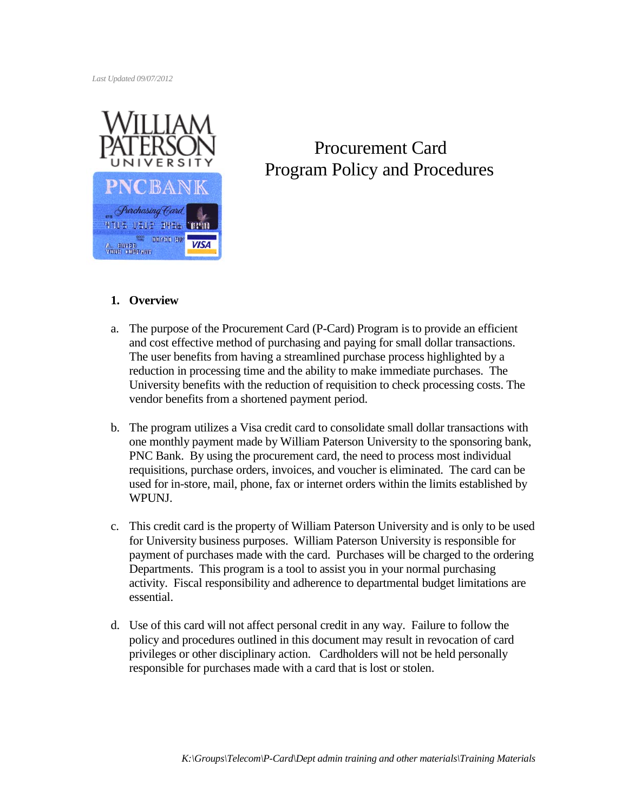*Last Updated 09/07/2012*



# Procurement Card Program Policy and Procedures

## **1. Overview**

- a. The purpose of the Procurement Card (P-Card) Program is to provide an efficient and cost effective method of purchasing and paying for small dollar transactions. The user benefits from having a streamlined purchase process highlighted by a reduction in processing time and the ability to make immediate purchases. The University benefits with the reduction of requisition to check processing costs. The vendor benefits from a shortened payment period.
- b. The program utilizes a Visa credit card to consolidate small dollar transactions with one monthly payment made by William Paterson University to the sponsoring bank, PNC Bank. By using the procurement card, the need to process most individual requisitions, purchase orders, invoices, and voucher is eliminated. The card can be used for in-store, mail, phone, fax or internet orders within the limits established by WPUNJ.
- c. This credit card is the property of William Paterson University and is only to be used for University business purposes. William Paterson University is responsible for payment of purchases made with the card. Purchases will be charged to the ordering Departments. This program is a tool to assist you in your normal purchasing activity. Fiscal responsibility and adherence to departmental budget limitations are essential.
- d. Use of this card will not affect personal credit in any way. Failure to follow the policy and procedures outlined in this document may result in revocation of card privileges or other disciplinary action. Cardholders will not be held personally responsible for purchases made with a card that is lost or stolen.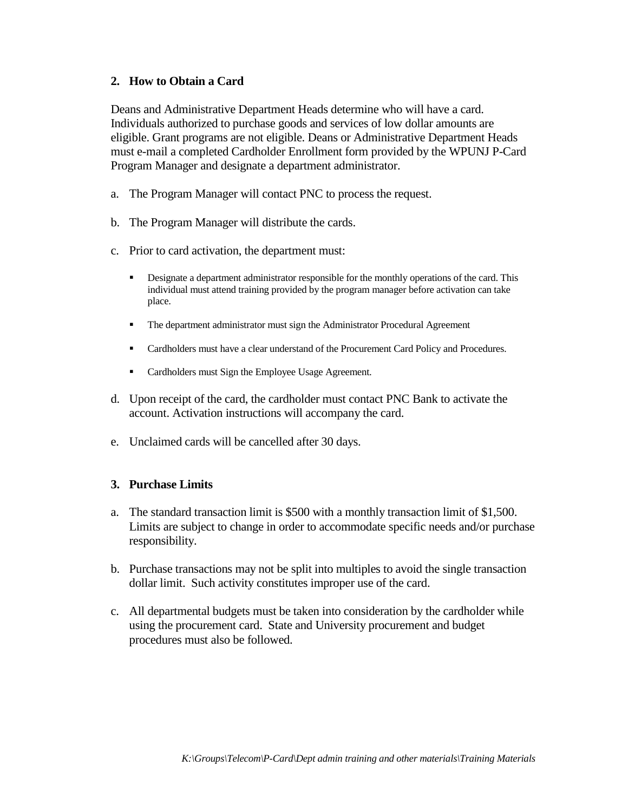## **2. How to Obtain a Card**

Deans and Administrative Department Heads determine who will have a card. Individuals authorized to purchase goods and services of low dollar amounts are eligible. Grant programs are not eligible. Deans or Administrative Department Heads must e-mail a completed Cardholder Enrollment form provided by the WPUNJ P-Card Program Manager and designate a department administrator.

- a. The Program Manager will contact PNC to process the request.
- b. The Program Manager will distribute the cards.
- c. Prior to card activation, the department must:
	- **•** Designate a department administrator responsible for the monthly operations of the card. This individual must attend training provided by the program manager before activation can take place.
	- The department administrator must sign the Administrator Procedural Agreement
	- **Cardholders must have a clear understand of the Procurement Card Policy and Procedures.**
	- Cardholders must Sign the Employee Usage Agreement.
- d. Upon receipt of the card, the cardholder must contact PNC Bank to activate the account. Activation instructions will accompany the card.
- e. Unclaimed cards will be cancelled after 30 days.

#### **3. Purchase Limits**

- a. The standard transaction limit is \$500 with a monthly transaction limit of \$1,500. Limits are subject to change in order to accommodate specific needs and/or purchase responsibility.
- b. Purchase transactions may not be split into multiples to avoid the single transaction dollar limit. Such activity constitutes improper use of the card.
- c. All departmental budgets must be taken into consideration by the cardholder while using the procurement card. State and University procurement and budget procedures must also be followed.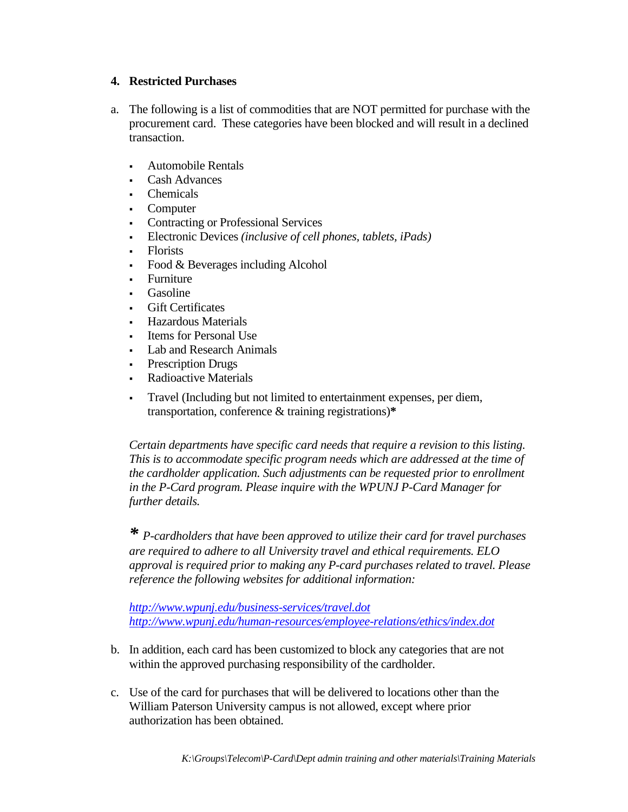## **4. Restricted Purchases**

- a. The following is a list of commodities that are NOT permitted for purchase with the procurement card. These categories have been blocked and will result in a declined transaction.
	- Automobile Rentals
	- Cash Advances
	- Chemicals
	- Computer
	- Contracting or Professional Services
	- Electronic Devices *(inclusive of cell phones, tablets, iPads)*
	- Florists
	- Food & Beverages including Alcohol
	- **Furniture**
	- Gasoline
	- Gift Certificates
	- Hazardous Materials
	- Items for Personal Use
	- **Lab and Research Animals**
	- **Prescription Drugs**
	- Radioactive Materials
	- Travel (Including but not limited to entertainment expenses, per diem, transportation, conference & training registrations)**\***

*Certain departments have specific card needs that require a revision to this listing. This is to accommodate specific program needs which are addressed at the time of the cardholder application. Such adjustments can be requested prior to enrollment in the P-Card program. Please inquire with the WPUNJ P-Card Manager for further details.* 

*\* P-cardholders that have been approved to utilize their card for travel purchases are required to adhere to all University travel and ethical requirements. ELO approval is required prior to making any P-card purchases related to travel. Please reference the following websites for additional information:*

*<http://www.wpunj.edu/business-services/travel.dot> <http://www.wpunj.edu/human-resources/employee-relations/ethics/index.dot>* 

- b. In addition, each card has been customized to block any categories that are not within the approved purchasing responsibility of the cardholder.
- c. Use of the card for purchases that will be delivered to locations other than the William Paterson University campus is not allowed, except where prior authorization has been obtained.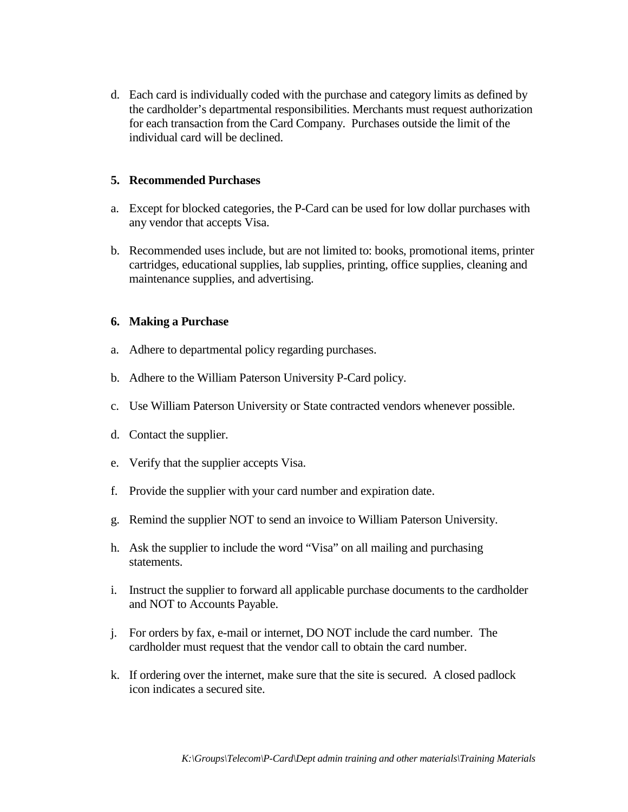d. Each card is individually coded with the purchase and category limits as defined by the cardholder's departmental responsibilities. Merchants must request authorization for each transaction from the Card Company. Purchases outside the limit of the individual card will be declined.

## **5. Recommended Purchases**

- a. Except for blocked categories, the P-Card can be used for low dollar purchases with any vendor that accepts Visa.
- b. Recommended uses include, but are not limited to: books, promotional items, printer cartridges, educational supplies, lab supplies, printing, office supplies, cleaning and maintenance supplies, and advertising.

## **6. Making a Purchase**

- a. Adhere to departmental policy regarding purchases.
- b. Adhere to the William Paterson University P-Card policy.
- c. Use William Paterson University or State contracted vendors whenever possible.
- d. Contact the supplier.
- e. Verify that the supplier accepts Visa.
- f. Provide the supplier with your card number and expiration date.
- g. Remind the supplier NOT to send an invoice to William Paterson University.
- h. Ask the supplier to include the word "Visa" on all mailing and purchasing statements.
- i. Instruct the supplier to forward all applicable purchase documents to the cardholder and NOT to Accounts Payable.
- j. For orders by fax, e-mail or internet, DO NOT include the card number. The cardholder must request that the vendor call to obtain the card number.
- k. If ordering over the internet, make sure that the site is secured. A closed padlock icon indicates a secured site.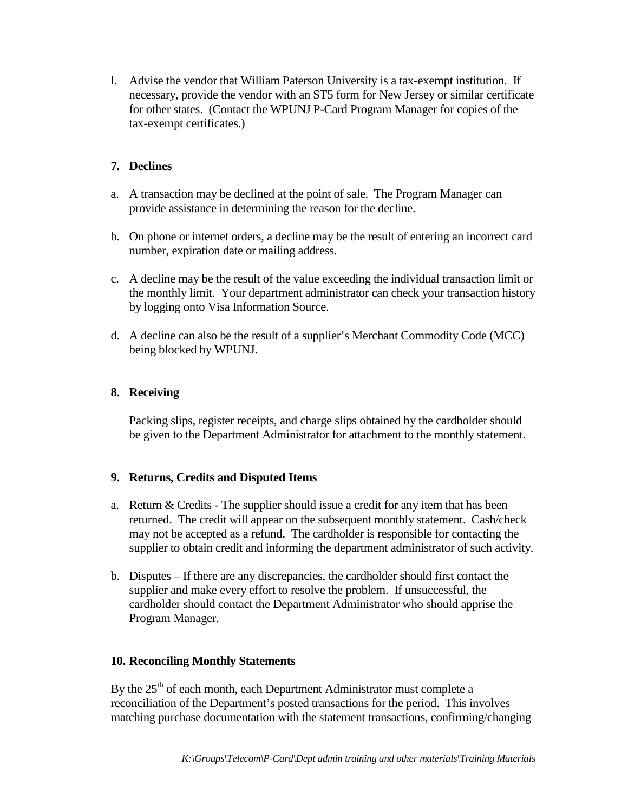l. Advise the vendor that William Paterson University is a tax-exempt institution. If necessary, provide the vendor with an ST5 form for New Jersey or similar certificate for other states. (Contact the WPUNJ P-Card Program Manager for copies of the tax-exempt certificates.)

# **7. Declines**

- a. A transaction may be declined at the point of sale. The Program Manager can provide assistance in determining the reason for the decline.
- b. On phone or internet orders, a decline may be the result of entering an incorrect card number, expiration date or mailing address.
- c. A decline may be the result of the value exceeding the individual transaction limit or the monthly limit. Your department administrator can check your transaction history by logging onto Visa Information Source.
- d. A decline can also be the result of a supplier's Merchant Commodity Code (MCC) being blocked by WPUNJ.

# **8. Receiving**

Packing slips, register receipts, and charge slips obtained by the cardholder should be given to the Department Administrator for attachment to the monthly statement.

## **9. Returns, Credits and Disputed Items**

- a. Return & Credits The supplier should issue a credit for any item that has been returned. The credit will appear on the subsequent monthly statement. Cash/check may not be accepted as a refund. The cardholder is responsible for contacting the supplier to obtain credit and informing the department administrator of such activity.
- b. Disputes If there are any discrepancies, the cardholder should first contact the supplier and make every effort to resolve the problem. If unsuccessful, the cardholder should contact the Department Administrator who should apprise the Program Manager.

## **10. Reconciling Monthly Statements**

By the  $25<sup>th</sup>$  of each month, each Department Administrator must complete a reconciliation of the Department's posted transactions for the period. This involves matching purchase documentation with the statement transactions, confirming/changing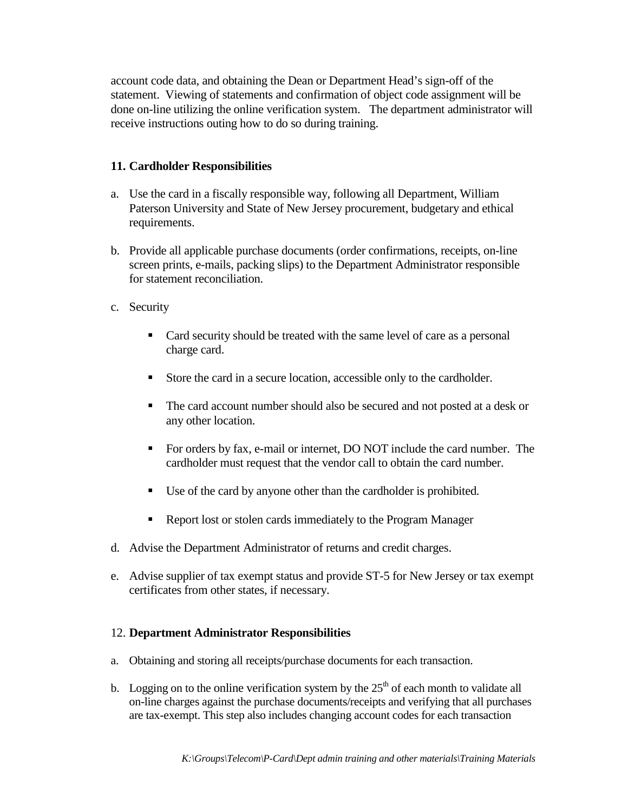account code data, and obtaining the Dean or Department Head's sign-off of the statement. Viewing of statements and confirmation of object code assignment will be done on-line utilizing the online verification system. The department administrator will receive instructions outing how to do so during training.

## **11. Cardholder Responsibilities**

- a. Use the card in a fiscally responsible way, following all Department, William Paterson University and State of New Jersey procurement, budgetary and ethical requirements.
- b. Provide all applicable purchase documents (order confirmations, receipts, on-line screen prints, e-mails, packing slips) to the Department Administrator responsible for statement reconciliation.
- c. Security
	- Card security should be treated with the same level of care as a personal charge card.
	- Store the card in a secure location, accessible only to the cardholder.
	- The card account number should also be secured and not posted at a desk or any other location.
	- For orders by fax, e-mail or internet, DO NOT include the card number. The cardholder must request that the vendor call to obtain the card number.
	- Use of the card by anyone other than the cardholder is prohibited.
	- Report lost or stolen cards immediately to the Program Manager
- d. Advise the Department Administrator of returns and credit charges.
- e. Advise supplier of tax exempt status and provide ST-5 for New Jersey or tax exempt certificates from other states, if necessary.

#### 12. **Department Administrator Responsibilities**

- a. Obtaining and storing all receipts/purchase documents for each transaction.
- b. Logging on to the online verification system by the  $25<sup>th</sup>$  of each month to validate all on-line charges against the purchase documents/receipts and verifying that all purchases are tax-exempt. This step also includes changing account codes for each transaction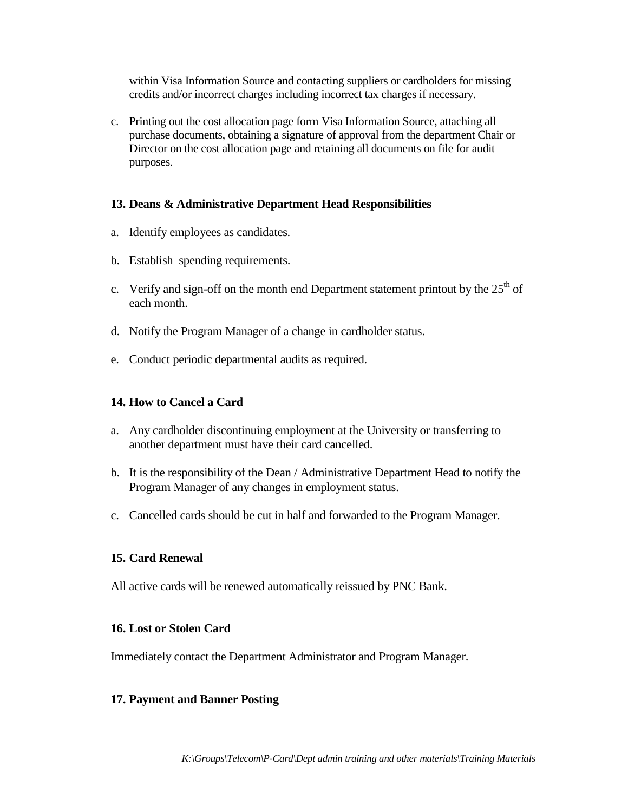within Visa Information Source and contacting suppliers or cardholders for missing credits and/or incorrect charges including incorrect tax charges if necessary.

c. Printing out the cost allocation page form Visa Information Source, attaching all purchase documents, obtaining a signature of approval from the department Chair or Director on the cost allocation page and retaining all documents on file for audit purposes.

#### **13. Deans & Administrative Department Head Responsibilities**

- a. Identify employees as candidates.
- b. Establish spending requirements.
- c. Verify and sign-off on the month end Department statement printout by the  $25<sup>th</sup>$  of each month.
- d. Notify the Program Manager of a change in cardholder status.
- e. Conduct periodic departmental audits as required.

#### **14. How to Cancel a Card**

- a. Any cardholder discontinuing employment at the University or transferring to another department must have their card cancelled.
- b. It is the responsibility of the Dean / Administrative Department Head to notify the Program Manager of any changes in employment status.
- c. Cancelled cards should be cut in half and forwarded to the Program Manager.

#### **15. Card Renewal**

All active cards will be renewed automatically reissued by PNC Bank.

#### **16. Lost or Stolen Card**

Immediately contact the Department Administrator and Program Manager.

#### **17. Payment and Banner Posting**